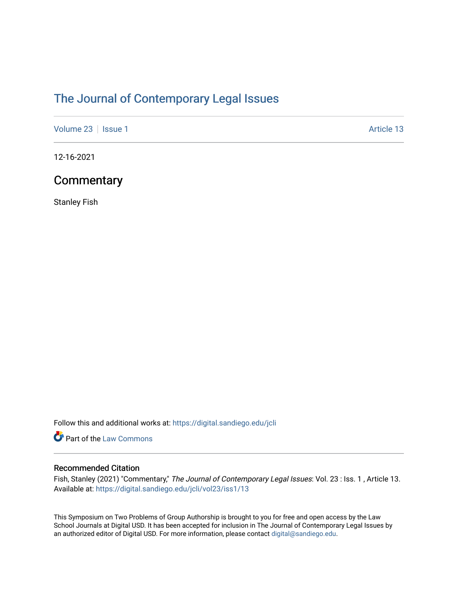# [The Journal of Contemporary Legal Issues](https://digital.sandiego.edu/jcli)

[Volume 23](https://digital.sandiego.edu/jcli/vol23) | [Issue 1](https://digital.sandiego.edu/jcli/vol23/iss1) Article 13

12-16-2021

### **Commentary**

Stanley Fish

Follow this and additional works at: [https://digital.sandiego.edu/jcli](https://digital.sandiego.edu/jcli?utm_source=digital.sandiego.edu%2Fjcli%2Fvol23%2Fiss1%2F13&utm_medium=PDF&utm_campaign=PDFCoverPages) 

Part of the [Law Commons](http://network.bepress.com/hgg/discipline/578?utm_source=digital.sandiego.edu%2Fjcli%2Fvol23%2Fiss1%2F13&utm_medium=PDF&utm_campaign=PDFCoverPages)

### Recommended Citation

Fish, Stanley (2021) "Commentary," The Journal of Contemporary Legal Issues: Vol. 23 : Iss. 1, Article 13. Available at: [https://digital.sandiego.edu/jcli/vol23/iss1/13](https://digital.sandiego.edu/jcli/vol23/iss1/13?utm_source=digital.sandiego.edu%2Fjcli%2Fvol23%2Fiss1%2F13&utm_medium=PDF&utm_campaign=PDFCoverPages) 

This Symposium on Two Problems of Group Authorship is brought to you for free and open access by the Law School Journals at Digital USD. It has been accepted for inclusion in The Journal of Contemporary Legal Issues by an authorized editor of Digital USD. For more information, please contact [digital@sandiego.edu](mailto:digital@sandiego.edu).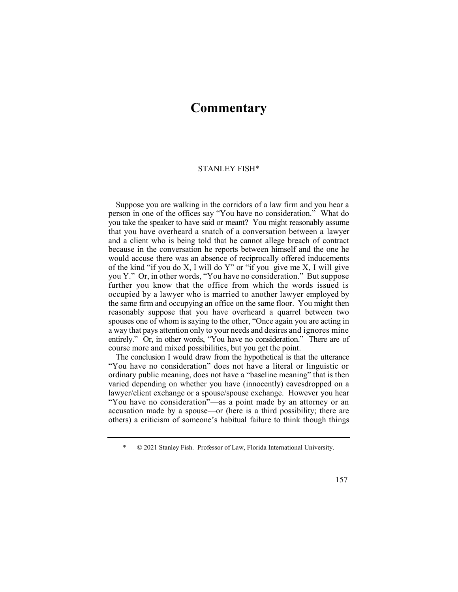## **Commentary**

#### STANLEY FISH\*

 Suppose you are walking in the corridors of a law firm and you hear a person in one of the offices say "You have no consideration." What do you take the speaker to have said or meant? You might reasonably assume that you have overheard a snatch of a conversation between a lawyer and a client who is being told that he cannot allege breach of contract because in the conversation he reports between himself and the one he would accuse there was an absence of reciprocally offered inducements of the kind "if you do X, I will do Y" or "if you give me X, I will give you Y." Or, in other words, "You have no consideration." But suppose further you know that the office from which the words issued is occupied by a lawyer who is married to another lawyer employed by the same firm and occupying an office on the same floor. You might then spouses one of whom is saying to the other, "Once again you are acting in a way that pays attention only to your needs and desires and ignores mine entirely." Or, in other words, "You have no consideration." There are of reasonably suppose that you have overheard a quarrel between two course more and mixed possibilities, but you get the point.

 The conclusion I would draw from the hypothetical is that the utterance "You have no consideration" does not have a literal or linguistic or ordinary public meaning, does not have a "baseline meaning" that is then varied depending on whether you have (innocently) eavesdropped on a lawyer/client exchange or a spouse/spouse exchange. However you hear "You have no consideration"—as a point made by an attorney or an accusation made by a spouse—or (here is a third possibility; there are others) a criticism of someone's habitual failure to think though things

 \* © 2021 Stanley Fish. Professor of Law, Florida International University.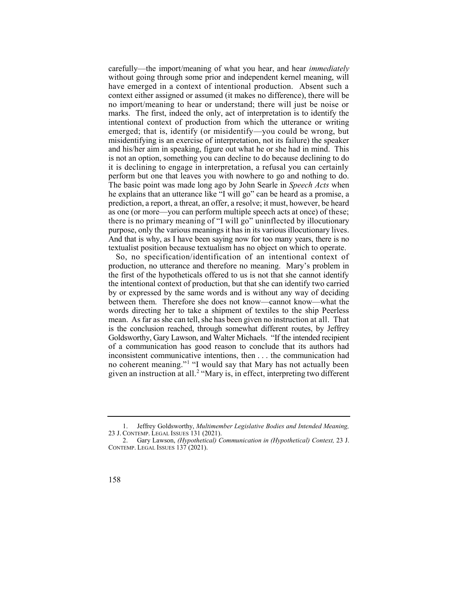carefully—the import/meaning of what you hear, and hear *immediately*  without going through some prior and independent kernel meaning, will have emerged in a context of intentional production. Absent such a no import/meaning to hear or understand; there will just be noise or marks. The first, indeed the only, act of interpretation is to identify the intentional context of production from which the utterance or writing emerged; that is, identify (or misidentify—you could be wrong, but misidentifying is an exercise of interpretation, not its failure) the speaker and his/her aim in speaking, figure out what he or she had in mind. This it is declining to engage in interpretation, a refusal you can certainly perform but one that leaves you with nowhere to go and nothing to do. The basic point was made long ago by John Searle in *Speech Acts* when he explains that an utterance like "I will go" can be heard as a promise, a prediction, a report, a threat, an offer, a resolve; it must, however, be heard as one (or more—you can perform multiple speech acts at once) of these; there is no primary meaning of "I will go" uninflected by illocutionary purpose, only the various meanings it has in its various illocutionary lives. And that is why, as I have been saying now for too many years, there is no context either assigned or assumed (it makes no difference), there will be is not an option, something you can decline to do because declining to do textualist position because textualism has no object on which to operate.

 So, no specification/identification of an intentional context of production, no utterance and therefore no meaning. Mary's problem in the first of the hypotheticals offered to us is not that she cannot identify the intentional context of production, but that she can identify two carried by or expressed by the same words and is without any way of deciding between them. Therefore she does not know—cannot know—what the no coherent meaning."<sup>1</sup> "I would say that Mary has not actually been given an instruction at all.<sup>2</sup> "Mary is, in effect, interpreting two different words directing her to take a shipment of textiles to the ship Peerless mean. As far as she can tell, she has been given no instruction at all. That is the conclusion reached, through somewhat different routes, by Jeffrey Goldsworthy, Gary Lawson, and Walter Michaels. "If the intended recipient of a communication has good reason to conclude that its authors had inconsistent communicative intentions, then . . . the communication had

 1. Jeffrey Goldsworthy, *Multimember Legislative Bodies and Intended Meaning,*  23 J. CONTEMP. LEGAL ISSUES 131 (2021).

 2. Gary Lawson, *(Hypothetical) Communication in (Hypothetical) Context,* 23 J. CONTEMP. LEGAL ISSUES 137 (2021).

<sup>158</sup>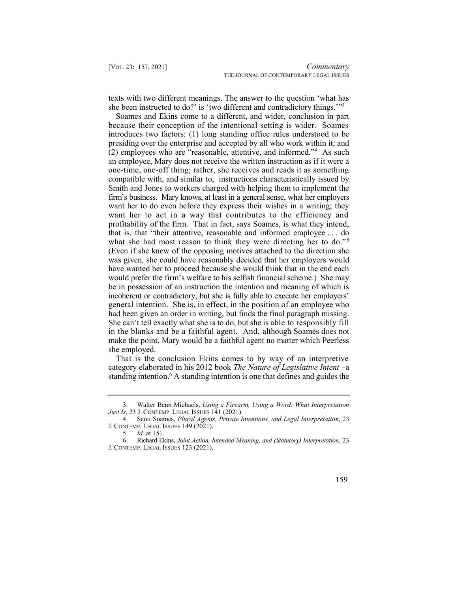texts with two different meanings. The answer to the question 'what has she been instructed to do?' is 'two different and contradictory things.'"<sup>3</sup>

 Soames and Ekins come to a different, and wider, conclusion in part  $(2)$  employees who are "reasonable, attentive, and informed."<sup>4</sup> As such want her to do even before they express their wishes in a writing; they want her to act in a way that contributes to the efficiency and profitability of the firm. That in fact, says Soames, is what they intend, that is, that "their attentive, reasonable and informed employee . . . do what she had most reason to think they were directing her to do."<sup>5</sup> (Even if she knew of the opposing motives attached to the direction she was given, she could have reasonably decided that her employers would have wanted her to proceed because she would think that in the end each would prefer the firm's welfare to his selfish financial scheme.) She may be in possession of an instruction the intention and meaning of which is incoherent or contradictory, but she is fully able to execute her employers' general intention. She is, in effect, in the position of an employee who had been given an order in writing, but finds the final paragraph missing. She can't tell exactly what she is to do, but she is able to responsibly fill in the blanks and be a faithful agent. And, although Soames does not make the point, Mary would be a faithful agent no matter which Peerless because their conception of the intentional setting is wider. Soames introduces two factors: (1) long standing office rules understood to be presiding over the enterprise and accepted by all who work within it; and an employee, Mary does not receive the written instruction as if it were a one-time, one-off thing; rather, she receives and reads it as something compatible with, and similar to, instructions characteristically issued by Smith and Jones to workers charged with helping them to implement the firm's business. Mary knows, at least in a general sense, what her employers she employed.

 That is the conclusion Ekins comes to by way of an interpretive standing intention.<sup>6</sup> A standing intention is one that defines and guides the category elaborated in his 2012 book *The Nature of Legislative Intent* –a

 3. Walter Benn Michaels, *Using a Firearm, Using a Word: What Interpretation Just Is*, 23 J. CONTEMP. LEGAL ISSUES 141 (2021).

 4. Scott Soames, *Plural Agents, Private Intentions, and Legal Interpretation*, 23 J. CONTEMP. LEGAL ISSUES 149 (2021).

<sup>5.</sup> *Id.* at 151.

 6. Richard Ekins, *Joint Action, Intended Meaning, and (Statutory) Interpretation*, 23 J. CONTEMP. LEGAL ISSUES 123 (2021).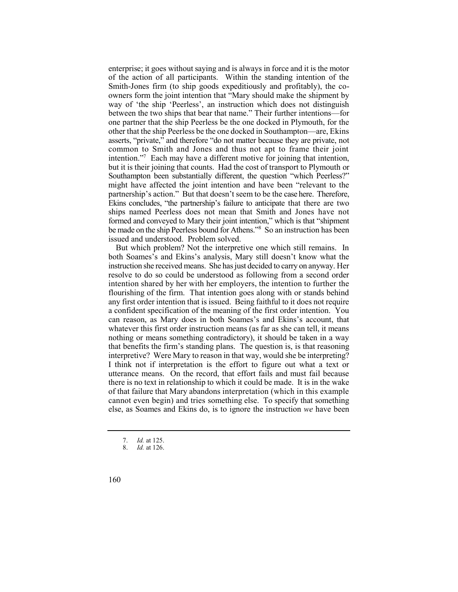enterprise; it goes without saying and is always in force and it is the motor of the action of all participants. Within the standing intention of the Smith-Jones firm (to ship goods expeditiously and profitably), the cointention."<sup>7</sup> Each may have a different motive for joining that intention, Southampton been substantially different, the question "which Peerless?" might have affected the joint intention and have been "relevant to the be made on the ship Peerless bound for Athens."<sup>8</sup> So an instruction has been owners form the joint intention that "Mary should make the shipment by way of 'the ship 'Peerless', an instruction which does not distinguish between the two ships that bear that name." Their further intentions—for one partner that the ship Peerless be the one docked in Plymouth, for the other that the ship Peerless be the one docked in Southampton—are, Ekins asserts, "private," and therefore "do not matter because they are private, not common to Smith and Jones and thus not apt to frame their joint but it is their joining that counts. Had the cost of transport to Plymouth or partnership's action." But that doesn't seem to be the case here. Therefore, Ekins concludes, "the partnership's failure to anticipate that there are two ships named Peerless does not mean that Smith and Jones have not formed and conveyed to Mary their joint intention," which is that "shipment issued and understood. Problem solved.

 But which problem? Not the interpretive one which still remains. In both Soames's and Ekins's analysis, Mary still doesn't know what the instruction she received means. She has just decided to carry on anyway. Her resolve to do so could be understood as following from a second order intention shared by her with her employers, the intention to further the flourishing of the firm. That intention goes along with or stands behind any first order intention that is issued. Being faithful to it does not require a confident specification of the meaning of the first order intention. You can reason, as Mary does in both Soames's and Ekins's account, that whatever this first order instruction means (as far as she can tell, it means nothing or means something contradictory), it should be taken in a way that benefits the firm's standing plans. The question is, is that reasoning interpretive? Were Mary to reason in that way, would she be interpreting? I think not if interpretation is the effort to figure out what a text or utterance means. On the record, that effort fails and must fail because there is no text in relationship to which it could be made. It is in the wake of that failure that Mary abandons interpretation (which in this example cannot even begin) and tries something else. To specify that something else, as Soames and Ekins do, is to ignore the instruction *we* have been

<sup>7.</sup> *Id.* at 125.

<sup>8.</sup> *Id.* at 126.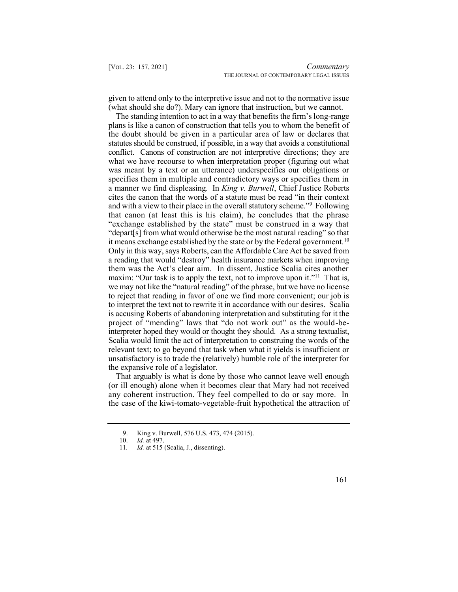given to attend only to the interpretive issue and not to the normative issue (what should she do?). Mary can ignore that instruction, but we cannot.

 The standing intention to act in a way that benefits the firm's long-range plans is like a canon of construction that tells you to whom the benefit of the doubt should be given in a particular area of law or declares that and with a view to their place in the overall statutory scheme."9 Following it means exchange established by the state or by the Federal government.<sup>10</sup> maxim: "Our task is to apply the text, not to improve upon it."<sup>11</sup> That is, is accusing Roberts of abandoning interpretation and substituting for it the project of "mending" laws that "do not work out" as the would-be- interpreter hoped they would or thought they should. As a strong textualist, statutes should be construed, if possible, in a way that avoids a constitutional conflict. Canons of construction are not interpretive directions; they are what we have recourse to when interpretation proper (figuring out what was meant by a text or an utterance) underspecifies our obligations or specifies them in multiple and contradictory ways or specifies them in a manner we find displeasing. In *King v. Burwell*, Chief Justice Roberts cites the canon that the words of a statute must be read "in their context that canon (at least this is his claim), he concludes that the phrase "exchange established by the state" must be construed in a way that "depart[s] from what would otherwise be the most natural reading" so that Only in this way, says Roberts, can the Affordable Care Act be saved from a reading that would "destroy" health insurance markets when improving them was the Act's clear aim. In dissent, Justice Scalia cites another we may not like the "natural reading" of the phrase, but we have no license to reject that reading in favor of one we find more convenient; our job is to interpret the text not to rewrite it in accordance with our desires. Scalia Scalia would limit the act of interpretation to construing the words of the relevant text; to go beyond that task when what it yields is insufficient or unsatisfactory is to trade the (relatively) humble role of the interpreter for the expansive role of a legislator.

 That arguably is what is done by those who cannot leave well enough (or ill enough) alone when it becomes clear that Mary had not received any coherent instruction. They feel compelled to do or say more. In the case of the kiwi-tomato-vegetable-fruit hypothetical the attraction of

 9. King v. Burwell, 576 U.S. 473, 474 (2015).

<sup>10.</sup> *Id.* at 497.

 11*. Id.* at 515 (Scalia, J., dissenting).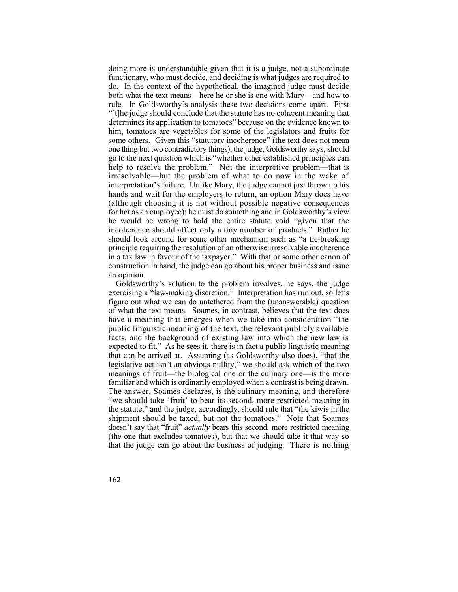doing more is understandable given that it is a judge, not a subordinate functionary, who must decide, and deciding is what judges are required to do. In the context of the hypothetical, the imagined judge must decide both what the text means—here he or she is one with Mary—and how to rule. In Goldsworthy's analysis these two decisions come apart. First "[t]he judge should conclude that the statute has no coherent meaning that him, tomatoes are vegetables for some of the legislators and fruits for some others. Given this "statutory incoherence" (the text does not mean one thing but two contradictory things), the judge, Goldsworthy says, should go to the next question which is "whether other established principles can help to resolve the problem." Not the interpretive problem—that is irresolvable—but the problem of what to do now in the wake of interpretation's failure. Unlike Mary, the judge cannot just throw up his hands and wait for the employers to return, an option Mary does have (although choosing it is not without possible negative consequences for her as an employee); he must do something and in Goldsworthy's view he would be wrong to hold the entire statute void "given that the incoherence should affect only a tiny number of products." Rather he should look around for some other mechanism such as "a tie-breaking principle requiring the resolution of an otherwise irresolvable incoherence in a tax law in favour of the taxpayer." With that or some other canon of construction in hand, the judge can go about his proper business and issue determines its application to tomatoes" because on the evidence known to an opinion.

 exercising a "law-making discretion." Interpretation has run out, so let's figure out what we can do untethered from the (unanswerable) question of what the text means. Soames, in contrast, believes that the text does have a meaning that emerges when we take into consideration "the facts, and the background of existing law into which the new law is expected to fit." As he sees it, there is in fact a public linguistic meaning that can be arrived at. Assuming (as Goldsworthy also does), "that the legislative act isn't an obvious nullity," we should ask which of the two meanings of fruit—the biological one or the culinary one—is the more familiar and which is ordinarily employed when a contrast is being drawn. The answer, Soames declares, is the culinary meaning, and therefore "we should take 'fruit' to bear its second, more restricted meaning in the statute," and the judge, accordingly, should rule that "the kiwis in the shipment should be taxed, but not the tomatoes." Note that Soames doesn't say that "fruit" *actually* bears this second, more restricted meaning (the one that excludes tomatoes), but that we should take it that way so that the judge can go about the business of judging. There is nothing Goldsworthy's solution to the problem involves, he says, the judge public linguistic meaning of the text, the relevant publicly available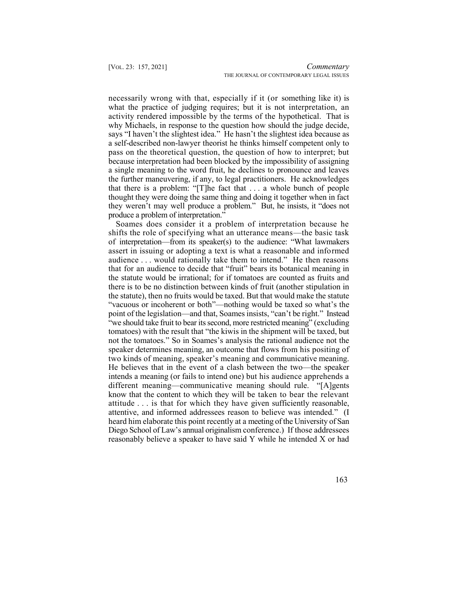necessarily wrong with that, especially if it (or something like it) is what the practice of judging requires; but it is not interpretation, an activity rendered impossible by the terms of the hypothetical. That is why Michaels, in response to the question how should the judge decide, says "I haven't the slightest idea." He hasn't the slightest idea because as a self-described non-lawyer theorist he thinks himself competent only to pass on the theoretical question, the question of how to interpret; but because interpretation had been blocked by the impossibility of assigning a single meaning to the word fruit, he declines to pronounce and leaves the further maneuvering, if any, to legal practitioners. He acknowledges that there is a problem: "[T]he fact that . . . a whole bunch of people thought they were doing the same thing and doing it together when in fact they weren't may well produce a problem." But, he insists, it "does not produce a problem of interpretation."

 Soames does consider it a problem of interpretation because he shifts the role of specifying what an utterance means—the basic task of interpretation—from its speaker(s) to the audience: "What lawmakers assert in issuing or adopting a text is what a reasonable and informed audience . . . would rationally take them to intend." He then reasons that for an audience to decide that "fruit" bears its botanical meaning in the statute would be irrational; for if tomatoes are counted as fruits and there is to be no distinction between kinds of fruit (another stipulation in the statute), then no fruits would be taxed. But that would make the statute "vacuous or incoherent or both"—nothing would be taxed so what's the point of the legislation—and that, Soames insists, "can't be right." Instead "we should take fruit to bear itssecond, more restricted meaning" (excluding tomatoes) with the result that "the kiwis in the shipment will be taxed, but not the tomatoes." So in Soames's analysis the rational audience not the speaker determines meaning, an outcome that flows from his positing of two kinds of meaning, speaker's meaning and communicative meaning. He believes that in the event of a clash between the two—the speaker intends a meaning (or fails to intend one) but his audience apprehends a different meaning—communicative meaning should rule. "[A]gents know that the content to which they will be taken to bear the relevant attitude . . . is that for which they have given sufficiently reasonable, attentive, and informed addressees reason to believe was intended." (I heard him elaborate this point recently at a meeting of the University of San Diego School of Law's annual originalism conference.) If those addressees reasonably believe a speaker to have said Y while he intended X or had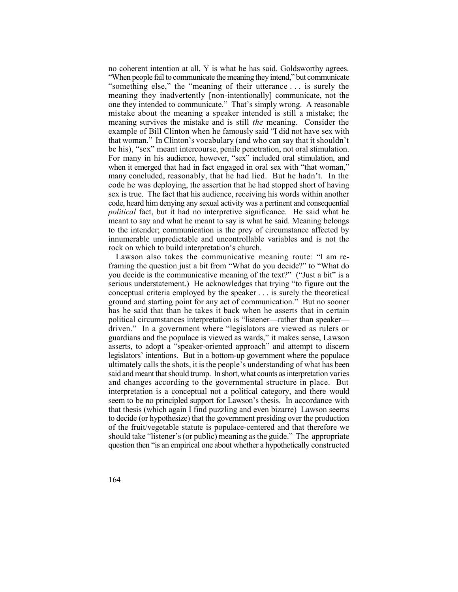no coherent intention at all, Y is what he has said. Goldsworthy agrees. "When people fail to communicate the meaning they intend," but communicate "something else," the "meaning of their utterance . . . is surely the meaning they inadvertently [non-intentionally] communicate, not the one they intended to communicate." That's simply wrong. A reasonable mistake about the meaning a speaker intended is still a mistake; the meaning survives the mistake and is still *the* meaning. Consider the example of Bill Clinton when he famously said "I did not have sex with that woman." In Clinton's vocabulary (and who can say that it shouldn't be his), "sex" meant intercourse, penile penetration, not oral stimulation. For many in his audience, however, "sex" included oral stimulation, and when it emerged that had in fact engaged in oral sex with "that woman," many concluded, reasonably, that he had lied. But he hadn't. In the code he was deploying, the assertion that he had stopped short of having sex is true. The fact that his audience, receiving his words within another code, heard him denying any sexual activity was a pertinent and consequential *political* fact, but it had no interpretive significance. He said what he meant to say and what he meant to say is what he said. Meaning belongs to the intender; communication is the prey of circumstance affected by innumerable unpredictable and uncontrollable variables and is not the rock on which to build interpretation's church.

 Lawson also takes the communicative meaning route: "I am re- framing the question just a bit from "What do you decide?" to "What do you decide is the communicative meaning of the text?" ("Just a bit" is a serious understatement.) He acknowledges that trying "to figure out the conceptual criteria employed by the speaker . . . is surely the theoretical ground and starting point for any act of communication." But no sooner has he said that than he takes it back when he asserts that in certain political circumstances interpretation is "listener—rather than speaker driven." In a government where "legislators are viewed as rulers or guardians and the populace is viewed as wards," it makes sense, Lawson asserts, to adopt a "speaker-oriented approach" and attempt to discern legislators' intentions. But in a bottom-up government where the populace ultimately calls the shots, it is the people's understanding of what has been said and meant that should trump. In short, what counts as interpretation varies and changes according to the governmental structure in place. But interpretation is a conceptual not a political category, and there would seem to be no principled support for Lawson's thesis. In accordance with that thesis (which again I find puzzling and even bizarre) Lawson seems to decide (or hypothesize) that the government presiding over the production of the fruit/vegetable statute is populace-centered and that therefore we should take "listener's (or public) meaning as the guide." The appropriate question then "is an empirical one about whether a hypothetically constructed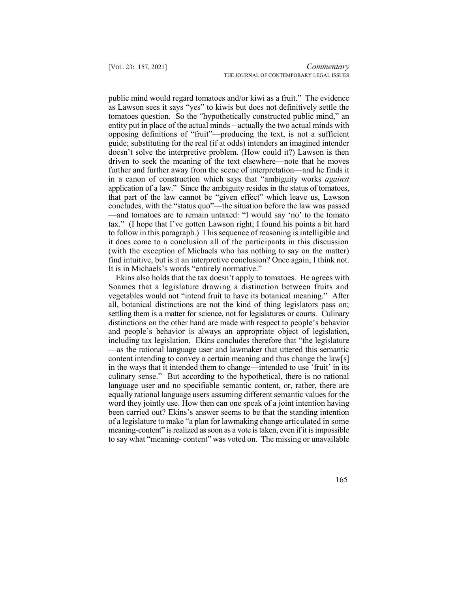public mind would regard tomatoes and/or kiwi as a fruit." The evidence as Lawson sees it says "yes" to kiwis but does not definitively settle the tomatoes question. So the "hypothetically constructed public mind," an entity put in place of the actual minds – actually the two actual minds with opposing definitions of "fruit"—producing the text, is not a sufficient guide; substituting for the real (if at odds) intenders an imagined intender doesn't solve the interpretive problem. (How could it?) Lawson is then driven to seek the meaning of the text elsewhere—note that he moves in a canon of construction which says that "ambiguity works *against*  that part of the law cannot be "given effect" which leave us, Lawson —and tomatoes are to remain untaxed: "I would say 'no' to the tomato tax." (I hope that I've gotten Lawson right; I found his points a bit hard to follow in this paragraph.) This sequence of reasoning is intelligible and it does come to a conclusion all of the participants in this discussion (with the exception of Michaels who has nothing to say on the matter) find intuitive, but is it an interpretive conclusion? Once again, I think not. further and further away from the scene of interpretation—and he finds it application of a law." Since the ambiguity resides in the status of tomatoes, concludes, with the "status quo"—the situation before the law was passed It is in Michaels's words "entirely normative."

 Ekins also holds that the tax doesn't apply to tomatoes. He agrees with Soames that a legislature drawing a distinction between fruits and vegetables would not "intend fruit to have its botanical meaning." After all, botanical distinctions are not the kind of thing legislators pass on; settling them is a matter for science, not for legislatures or courts. Culinary and people's behavior is always an appropriate object of legislation, distinctions on the other hand are made with respect to people's behavior including tax legislation. Ekins concludes therefore that "the legislature —as the rational language user and lawmaker that uttered this semantic content intending to convey a certain meaning and thus change the law[s] in the ways that it intended them to change—intended to use 'fruit' in its culinary sense." But according to the hypothetical, there is no rational language user and no specifiable semantic content, or, rather, there are equally rational language users assuming different semantic values for the word they jointly use. How then can one speak of a joint intention having been carried out? Ekins's answer seems to be that the standing intention of a legislature to make "a plan for lawmaking change articulated in some meaning-content" is realized as soon as a vote is taken, even if it is impossible to say what "meaning- content" was voted on. The missing or unavailable